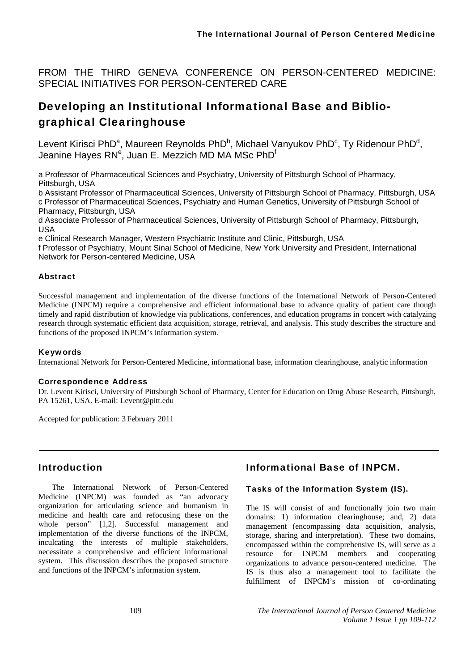FROM THE THIRD GENEVA CONFERENCE ON PERSON-CENTERED MEDICINE: SPECIAL INITIATIVES FOR PERSON-CENTERED CARE

# Developing an Institutional Informational Base and Bibliographical Clearinghouse

Levent Kirisci PhD<sup>a</sup>, Maureen Reynolds PhD<sup>b</sup>, Michael Vanyukov PhD<sup>c</sup>, Ty Ridenour PhD<sup>d</sup>, Jeanine Hayes RN<sup>e</sup>, Juan E. Mezzich MD MA MSc PhD<sup>f</sup>

a Professor of Pharmaceutical Sciences and Psychiatry, University of Pittsburgh School of Pharmacy, Pittsburgh, USA

b Assistant Professor of Pharmaceutical Sciences, University of Pittsburgh School of Pharmacy, Pittsburgh, USA c Professor of Pharmaceutical Sciences, Psychiatry and Human Genetics, University of Pittsburgh School of Pharmacy, Pittsburgh, USA

d Associate Professor of Pharmaceutical Sciences, University of Pittsburgh School of Pharmacy, Pittsburgh, USA

e Clinical Research Manager, Western Psychiatric Institute and Clinic, Pittsburgh, USA

f Professor of Psychiatry, Mount Sinai School of Medicine, New York University and President, International Network for Person-centered Medicine, USA

### Abstract

Successful management and implementation of the diverse functions of the International Network of Person-Centered Medicine (INPCM) require a comprehensive and efficient informational base to advance quality of patient care though timely and rapid distribution of knowledge via publications, conferences, and education programs in concert with catalyzing research through systematic efficient data acquisition, storage, retrieval, and analysis. This study describes the structure and functions of the proposed INPCM's information system.

### Keywords

International Network for Person-Centered Medicine, informational base, information clearinghouse, analytic information

### Correspondence Address

Dr. Levent Kirisci, University of Pittsburgh School of Pharmacy, Center for Education on Drug Abuse Research, Pittsburgh, PA 15261, USA. E-mail: Levent@pitt.edu

Accepted for publication: 3 February 2011

# Introduction

The International Network of Person-Centered Medicine (INPCM) was founded as "an advocacy organization for articulating science and humanism in medicine and health care and refocusing these on the whole person" [1,2]. Successful management and implementation of the diverse functions of the INPCM, inculcating the interests of multiple stakeholders, necessitate a comprehensive and efficient informational system. This discussion describes the proposed structure and functions of the INPCM's information system.

# Informational Base of INPCM.

### Tasks of the Information System (IS).

The IS will consist of and functionally join two main domains: 1) information clearinghouse; and, 2) data management (encompassing data acquisition, analysis, storage, sharing and interpretation). These two domains, encompassed within the comprehensive IS, will serve as a resource for INPCM members and cooperating organizations to advance person-centered medicine. The IS is thus also a management tool to facilitate the fulfillment of INPCM's mission of co-ordinating

109 *The International Journal of Person Centered Medicine Volume 1 Issue 1 pp 109-112*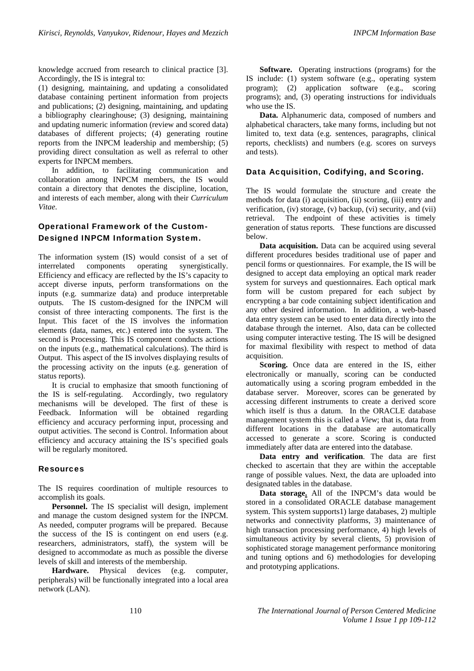knowledge accrued from research to clinical practice [3]. Accordingly, the IS is integral to:

(1) designing, maintaining, and updating a consolidated database containing pertinent information from projects and publications; (2) designing, maintaining, and updating a bibliography clearinghouse; (3) designing, maintaining and updating numeric information (review and scored data) databases of different projects; (4) generating routine reports from the INPCM leadership and membership; (5) providing direct consultation as well as referral to other experts for INPCM members.

In addition, to facilitating communication and collaboration among INPCM members, the IS would contain a directory that denotes the discipline, location, and interests of each member, along with their *Curriculum Vitae*.

# Operational Framework of the Custom-Designed INPCM Information System.

The information system (IS) would consist of a set of interrelated components operating synergistically. Efficiency and efficacy are reflected by the IS's capacity to accept diverse inputs, perform transformations on the inputs (e.g. summarize data) and produce interpretable outputs. The IS custom-designed for the INPCM will consist of three interacting components. The first is the Input. This facet of the IS involves the information elements (data, names, etc.) entered into the system. The second is Processing. This IS component conducts actions on the inputs (e.g., mathematical calculations). The third is Output. This aspect of the IS involves displaying results of the processing activity on the inputs (e.g. generation of status reports).

It is crucial to emphasize that smooth functioning of the IS is self-regulating. Accordingly, two regulatory mechanisms will be developed. The first of these is Feedback. Information will be obtained regarding efficiency and accuracy performing input, processing and output activities. The second is Control. Information about efficiency and accuracy attaining the IS's specified goals will be regularly monitored.

#### Resources

The IS requires coordination of multiple resources to accomplish its goals.

**Personnel.** The IS specialist will design, implement and manage the custom designed system for the INPCM. As needed, computer programs will be prepared. Because the success of the IS is contingent on end users (e.g. researchers, administrators, staff), the system will be designed to accommodate as much as possible the diverse levels of skill and interests of the membership.

**Hardware.** Physical devices (e.g. computer, peripherals) will be functionally integrated into a local area network (LAN).

**Software.** Operating instructions (programs) for the IS include: (1) system software (e.g., operating system program); (2) application software (e.g., scoring programs); and, (3) operating instructions for individuals who use the IS.

**Data.** Alphanumeric data, composed of numbers and alphabetical characters, take many forms, including but not limited to, text data (e.g. sentences, paragraphs, clinical reports, checklists) and numbers (e.g. scores on surveys and tests).

#### Data Acquisition, Codifying, and Scoring.

The IS would formulate the structure and create the methods for data (i) acquisition, (ii) scoring, (iii) entry and verification, (iv) storage, (v) backup, (vi) security, and (vii) retrieval. The endpoint of these activities is timely generation of status reports. These functions are discussed below.

**Data acquisition.** Data can be acquired using several different procedures besides traditional use of paper and pencil forms or questionnaires. For example, the IS will be designed to accept data employing an optical mark reader system for surveys and questionnaires. Each optical mark form will be custom prepared for each subject by encrypting a bar code containing subject identification and any other desired information. In addition, a web-based data entry system can be used to enter data directly into the database through the internet. Also, data can be collected using computer interactive testing. The IS will be designed for maximal flexibility with respect to method of data acquisition.

**Scoring.** Once data are entered in the IS, either electronically or manually, scoring can be conducted automatically using a scoring program embedded in the database server. Moreover, scores can be generated by accessing different instruments to create a derived score which itself is thus a datum. In the ORACLE database management system this is called a *View*; that is, data from different locations in the database are automatically accessed to generate a score. Scoring is conducted immediately after data are entered into the database.

**Data entry and verification**. The data are first checked to ascertain that they are within the acceptable range of possible values. Next, the data are uploaded into designated tables in the database.

**Data storage.** All of the INPCM's data would be stored in a consolidated ORACLE database management system. This system supports1) large databases, 2) multiple networks and connectivity platforms, 3) maintenance of high transaction processing performance, 4) high levels of simultaneous activity by several clients, 5) provision of sophisticated storage management performance monitoring and tuning options and 6) methodologies for developing and prototyping applications.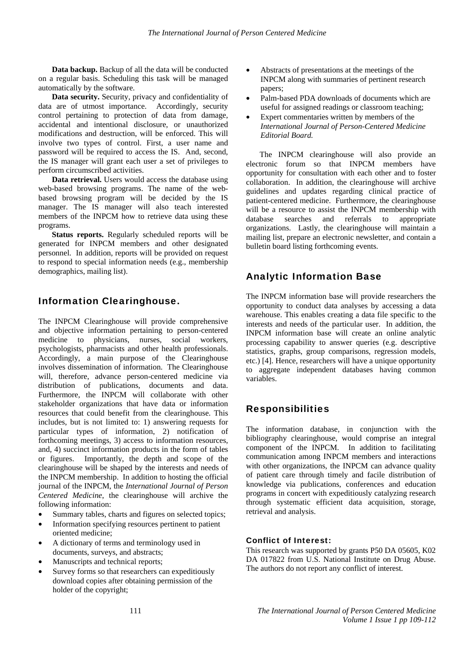**Data backup.** Backup of all the data will be conducted on a regular basis. Scheduling this task will be managed automatically by the software.

**Data security.** Security, privacy and confidentiality of data are of utmost importance. Accordingly, security control pertaining to protection of data from damage, accidental and intentional disclosure, or unauthorized modifications and destruction, will be enforced. This will involve two types of control. First, a user name and password will be required to access the IS. And, second, the IS manager will grant each user a set of privileges to perform circumscribed activities.

**Data retrieval.** Users would access the database using web-based browsing programs. The name of the webbased browsing program will be decided by the IS manager. The IS manager will also teach interested members of the INPCM how to retrieve data using these programs.

**Status reports.** Regularly scheduled reports will be generated for INPCM members and other designated personnel. In addition, reports will be provided on request to respond to special information needs (e.g., membership demographics, mailing list).

# Information Clearinghouse.

The INPCM Clearinghouse will provide comprehensive and objective information pertaining to person-centered medicine to physicians, nurses, social workers, psychologists, pharmacists and other health professionals. Accordingly, a main purpose of the Clearinghouse involves dissemination of information. The Clearinghouse will, therefore, advance person-centered medicine via distribution of publications, documents and data. Furthermore, the INPCM will collaborate with other stakeholder organizations that have data or information resources that could benefit from the clearinghouse. This includes, but is not limited to: 1) answering requests for particular types of information, 2) notification of forthcoming meetings, 3) access to information resources, and, 4) succinct information products in the form of tables or figures. Importantly, the depth and scope of the clearinghouse will be shaped by the interests and needs of the INPCM membership. In addition to hosting the official journal of the INPCM, the *International Journal of Person Centered Medicine*, the clearinghouse will archive the following information:

- Summary tables, charts and figures on selected topics;
- Information specifying resources pertinent to patient oriented medicine;
- A dictionary of terms and terminology used in documents, surveys, and abstracts;
- Manuscripts and technical reports;
- Survey forms so that researchers can expeditiously download copies after obtaining permission of the holder of the copyright;
- Abstracts of presentations at the meetings of the INPCM along with summaries of pertinent research papers;
- Palm-based PDA downloads of documents which are useful for assigned readings or classroom teaching;
- Expert commentaries written by members of the *International Journal of Person-Centered Medicine Editorial Board.*

The INPCM clearinghouse will also provide an electronic forum so that INPCM members have opportunity for consultation with each other and to foster collaboration. In addition, the clearinghouse will archive guidelines and updates regarding clinical practice of patient-centered medicine. Furthermore, the clearinghouse will be a resource to assist the INPCM membership with database searches and referrals to appropriate organizations. Lastly, the clearinghouse will maintain a mailing list, prepare an electronic newsletter, and contain a bulletin board listing forthcoming events.

# Analytic Information Base

The INPCM information base will provide researchers the opportunity to conduct data analyses by accessing a data warehouse. This enables creating a data file specific to the interests and needs of the particular user. In addition, the INPCM information base will create an online analytic processing capability to answer queries (e.g. descriptive statistics, graphs, group comparisons, regression models, etc.) [4]. Hence, researchers will have a unique opportunity to aggregate independent databases having common variables.

# Responsibilities

The information database, in conjunction with the bibliography clearinghouse, would comprise an integral component of the INPCM. In addition to facilitating communication among INPCM members and interactions with other organizations, the INPCM can advance quality of patient care through timely and facile distribution of knowledge via publications, conferences and education programs in concert with expeditiously catalyzing research through systematic efficient data acquisition, storage, retrieval and analysis.

### Conflict of Interest:

This research was supported by grants P50 DA 05605, K02 DA 017822 from U.S. National Institute on Drug Abuse. The authors do not report any conflict of interest.

111 *The International Journal of Person Centered Medicine Volume 1 Issue 1 pp 109-112*